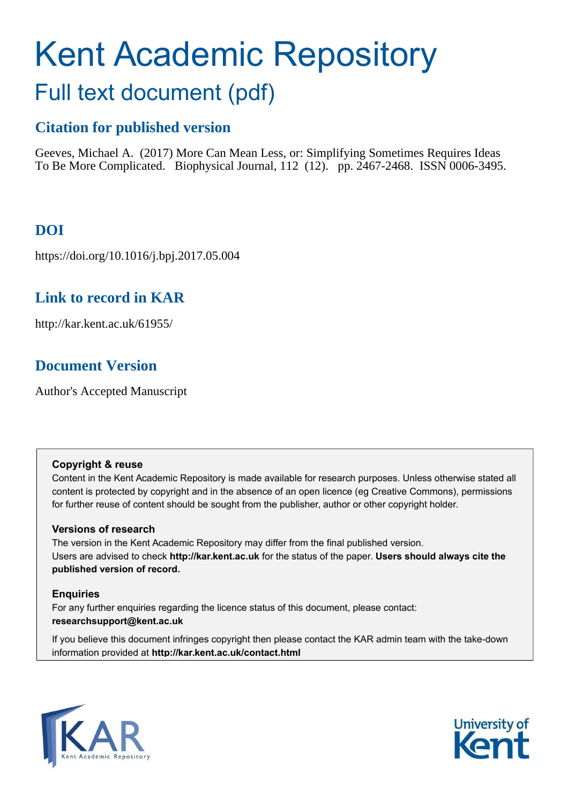# Kent Academic Repository Full text document (pdf)

## **Citation for published version**

Geeves, Michael A. (2017) More Can Mean Less, or: Simplifying Sometimes Requires Ideas To Be More Complicated. Biophysical Journal, 112 (12). pp. 2467-2468. ISSN 0006-3495.

## **DOI**

https://doi.org/10.1016/j.bpj.2017.05.004

## **Link to record in KAR**

http://kar.kent.ac.uk/61955/

## **Document Version**

Author's Accepted Manuscript

#### **Copyright & reuse**

Content in the Kent Academic Repository is made available for research purposes. Unless otherwise stated all content is protected by copyright and in the absence of an open licence (eg Creative Commons), permissions for further reuse of content should be sought from the publisher, author or other copyright holder.

#### **Versions of research**

The version in the Kent Academic Repository may differ from the final published version. Users are advised to check **http://kar.kent.ac.uk** for the status of the paper. **Users should always cite the published version of record.**

#### **Enquiries**

For any further enquiries regarding the licence status of this document, please contact: **researchsupport@kent.ac.uk**

If you believe this document infringes copyright then please contact the KAR admin team with the take-down information provided at **http://kar.kent.ac.uk/contact.html**



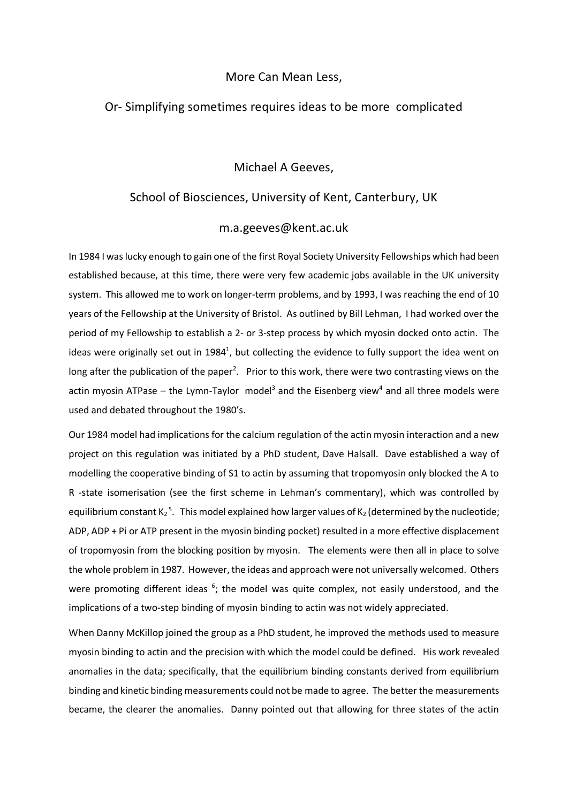#### More Can Mean Less,

#### Or- Simplifying sometimes requires ideas to be more complicated

#### Michael A Geeves,

#### School of Biosciences, University of Kent, Canterbury, UK

#### m.a.geeves@kent.ac.uk

In 1984 I was lucky enough to gain one of the first Royal Society University Fellowships which had been established because, at this time, there were very few academic jobs available in the UK university system. This allowed me to work on longer-term problems, and by 1993, I was reaching the end of 10 years of the Fellowship at the University of Bristol. As outlined by Bill Lehman, I had worked over the period of my Fellowship to establish a 2- or 3-step process by which myosin docked onto actin. The ideas were originally set out in 1984<sup>1</sup>, but collecting the evidence to fully support the idea went on long after the publication of the paper<sup>2</sup>. Prior to this work, there were two contrasting views on the actin myosin ATPase – the Lymn-Taylor model<sup>3</sup> and the Eisenberg view<sup>4</sup> and all three models were used and debated throughout the 1980's.

Our 1984 model had implications for the calcium regulation of the actin myosin interaction and a new project on this regulation was initiated by a PhD student, Dave Halsall. Dave established a way of modelling the cooperative binding of S1 to actin by assuming that tropomyosin only blocked the A to R -state isomerisation (see the first scheme in Lehman's commentary), which was controlled by equilibrium constant  $K_2$ <sup>5</sup>. This model explained how larger values of  $K_2$  (determined by the nucleotide; ADP, ADP + Pi or ATP present in the myosin binding pocket) resulted in a more effective displacement of tropomyosin from the blocking position by myosin. The elements were then all in place to solve the whole problem in 1987. However, the ideas and approach were not universally welcomed. Others were promoting different ideas <sup>6</sup>; the model was quite complex, not easily understood, and the implications of a two-step binding of myosin binding to actin was not widely appreciated.

When Danny McKillop joined the group as a PhD student, he improved the methods used to measure myosin binding to actin and the precision with which the model could be defined. His work revealed anomalies in the data; specifically, that the equilibrium binding constants derived from equilibrium binding and kinetic binding measurements could not be made to agree. The better the measurements became, the clearer the anomalies. Danny pointed out that allowing for three states of the actin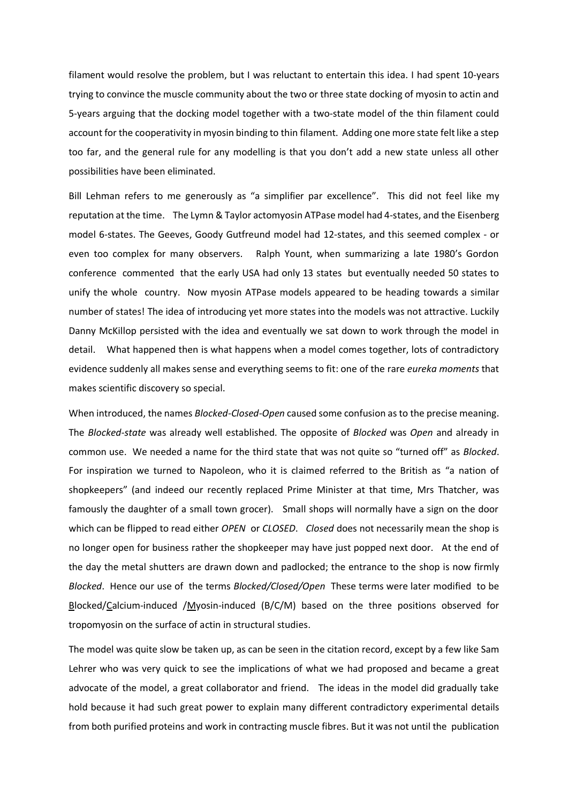filament would resolve the problem, but I was reluctant to entertain this idea. I had spent 10-years trying to convince the muscle community about the two or three state docking of myosin to actin and 5-years arguing that the docking model together with a two-state model of the thin filament could account for the cooperativity in myosin binding to thin filament. Adding one more state felt like a step too far, and the general rule for any modelling is that you don't add a new state unless all other possibilities have been eliminated.

Bill Lehman refers to me generously as "a simplifier par excellence". This did not feel like my reputation at the time. The Lymn & Taylor actomyosin ATPase model had 4-states, and the Eisenberg model 6-states. The Geeves, Goody Gutfreund model had 12-states, and this seemed complex - or even too complex for many observers. Ralph Yount, when summarizing a late 1980's Gordon conference commented that the early USA had only 13 states but eventually needed 50 states to unify the whole country. Now myosin ATPase models appeared to be heading towards a similar number of states! The idea of introducing yet more states into the models was not attractive. Luckily Danny McKillop persisted with the idea and eventually we sat down to work through the model in detail. What happened then is what happens when a model comes together, lots of contradictory evidence suddenly all makes sense and everything seems to fit: one of the rare *eureka moments* that makes scientific discovery so special.

When introduced, the names *Blocked-Closed-Open* caused some confusion as to the precise meaning. The *Blocked-state* was already well established. The opposite of *Blocked* was *Open* and already in common use. We needed a name for the third state that was not quite so "turned off" as *Blocked*. For inspiration we turned to Napoleon, who it is claimed referred to the British as "a nation of shopkeepers" (and indeed our recently replaced Prime Minister at that time, Mrs Thatcher, was famously the daughter of a small town grocer). Small shops will normally have a sign on the door which can be flipped to read either *OPEN* or *CLOSED*. *Closed* does not necessarily mean the shop is no longer open for business rather the shopkeeper may have just popped next door. At the end of the day the metal shutters are drawn down and padlocked; the entrance to the shop is now firmly *Blocked*. Hence our use of the terms *Blocked/Closed/Open* These terms were later modified to be Blocked/Calcium-induced /Myosin-induced (B/C/M) based on the three positions observed for tropomyosin on the surface of actin in structural studies.

The model was quite slow be taken up, as can be seen in the citation record, except by a few like Sam Lehrer who was very quick to see the implications of what we had proposed and became a great advocate of the model, a great collaborator and friend. The ideas in the model did gradually take hold because it had such great power to explain many different contradictory experimental details from both purified proteins and work in contracting muscle fibres. But it was not until the publication